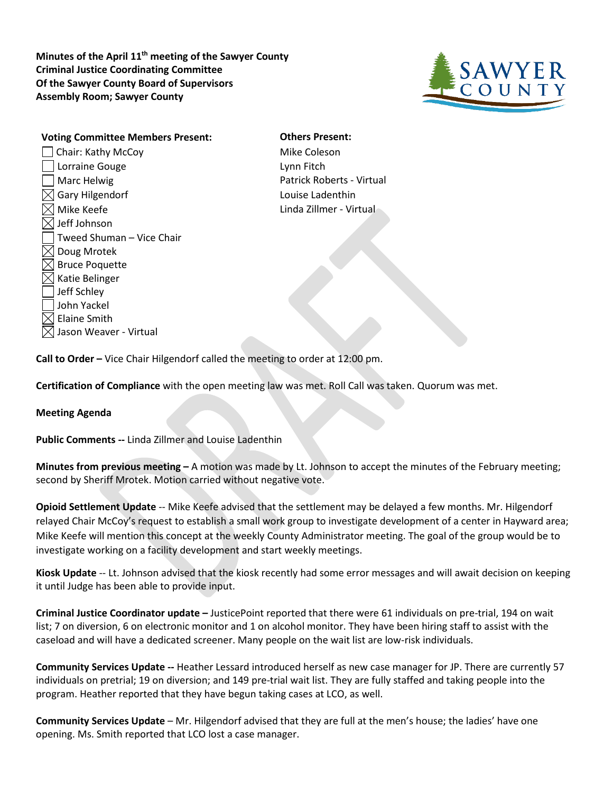**Minutes of the April 11th meeting of the Sawyer County Criminal Justice Coordinating Committee Of the Sawyer County Board of Supervisors Assembly Room; Sawyer County**



**Voting Committee Members Present: Others Present:** □ Chair: Kathy McCoy Mike Coleson **Lorraine Gouge Lynn Fitch** Marc Helwig **Patrick Roberts - Virtual**  $\boxtimes$  Gary Hilgendorf  $\blacksquare$  $\boxtimes$  Mike Keefe  $\blacksquare$  $\boxtimes$  Jeff Johnson Tweed Shuman – Vice Chair  $\boxtimes$  Doug Mrotek  $\boxtimes$  Bruce Poquette  $\boxtimes$  Katie Belinger Jeff Schley John Yackel  $\boxtimes$  Elaine Smith  $\boxtimes$  Jason Weaver - Virtual

**Call to Order –** Vice Chair Hilgendorf called the meeting to order at 12:00 pm.

**Certification of Compliance** with the open meeting law was met. Roll Call was taken. Quorum was met.

## **Meeting Agenda**

**Public Comments --** Linda Zillmer and Louise Ladenthin

**Minutes from previous meeting –** A motion was made by Lt. Johnson to accept the minutes of the February meeting; second by Sheriff Mrotek. Motion carried without negative vote.

**Opioid Settlement Update** -- Mike Keefe advised that the settlement may be delayed a few months. Mr. Hilgendorf relayed Chair McCoy's request to establish a small work group to investigate development of a center in Hayward area; Mike Keefe will mention this concept at the weekly County Administrator meeting. The goal of the group would be to investigate working on a facility development and start weekly meetings.

**Kiosk Update** -- Lt. Johnson advised that the kiosk recently had some error messages and will await decision on keeping it until Judge has been able to provide input.

**Criminal Justice Coordinator update –** JusticePoint reported that there were 61 individuals on pre-trial, 194 on wait list; 7 on diversion, 6 on electronic monitor and 1 on alcohol monitor. They have been hiring staff to assist with the caseload and will have a dedicated screener. Many people on the wait list are low-risk individuals.

**Community Services Update --** Heather Lessard introduced herself as new case manager for JP. There are currently 57 individuals on pretrial; 19 on diversion; and 149 pre-trial wait list. They are fully staffed and taking people into the program. Heather reported that they have begun taking cases at LCO, as well.

**Community Services Update** – Mr. Hilgendorf advised that they are full at the men's house; the ladies' have one opening. Ms. Smith reported that LCO lost a case manager.